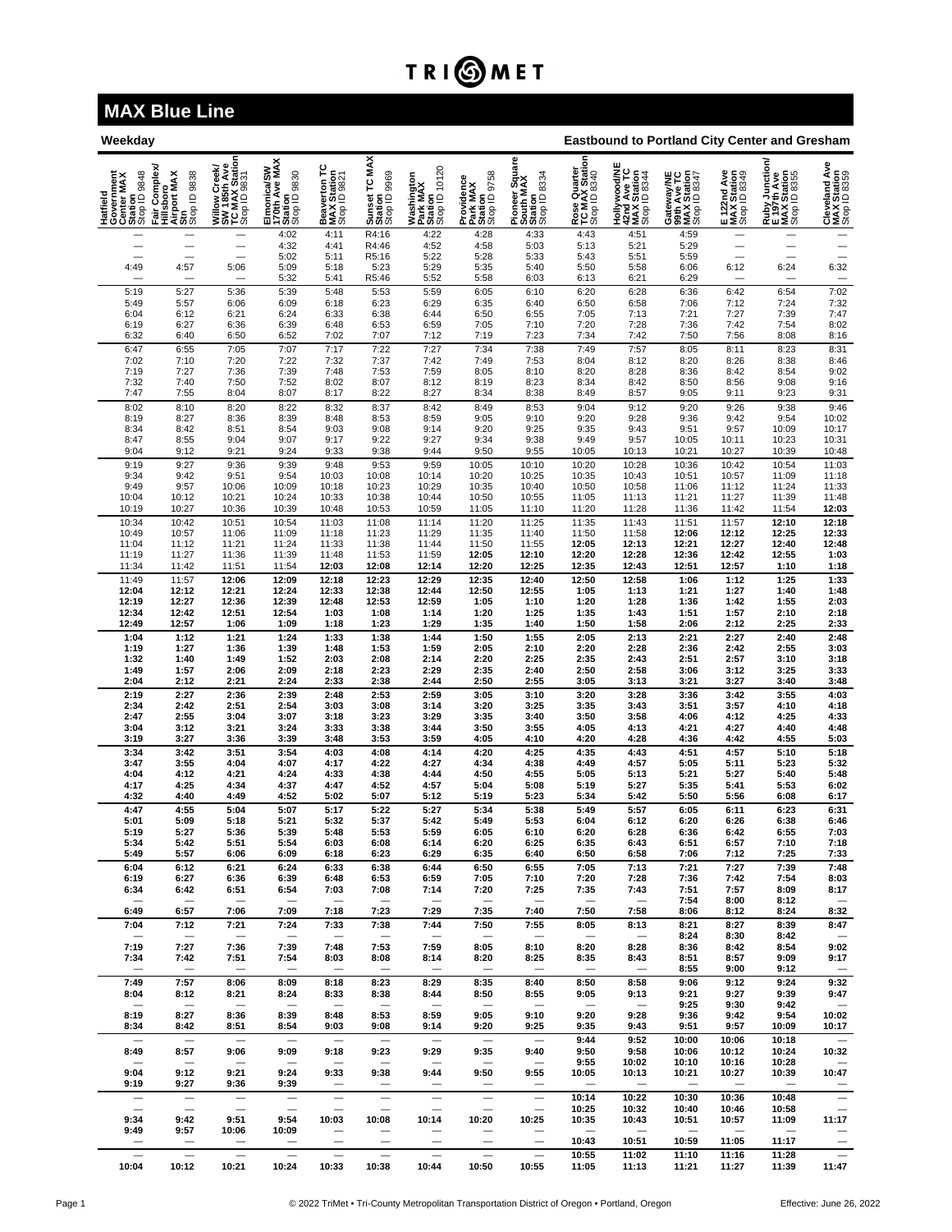## **TRIOMET**

## **MAX Blue Line**

| <b>Eastbound to Portland City Center and Gresham</b><br>Weekday |                                                                     |                                                                 |                                                         |                                             |                                          |                                                    |                                                   |                                                        |                                                |                                                                      |                                                                                 |                                            |                                                              |                                                            |
|-----------------------------------------------------------------|---------------------------------------------------------------------|-----------------------------------------------------------------|---------------------------------------------------------|---------------------------------------------|------------------------------------------|----------------------------------------------------|---------------------------------------------------|--------------------------------------------------------|------------------------------------------------|----------------------------------------------------------------------|---------------------------------------------------------------------------------|--------------------------------------------|--------------------------------------------------------------|------------------------------------------------------------|
| Hatfield<br>Government<br>Center MAX<br>Station<br>Stop ID 9848 | Complex<br>Hillsboro<br>Airport MAX<br>Strp<br>Stop ID 9838<br>Fair | Willow Creek/<br>SW 185th Ave<br>TC MAX Station<br>Stop ID 9831 | Elmonica/SW<br>170th Ave MAX<br>Station<br>Stop ID 9830 | Beaverton TC<br>MAX Station<br>Stop ID 9821 | Sunset TC MAX<br>Station<br>Stop ID 9969 | Washington<br>Park MAX<br>Station<br>Stop ID 10120 | Providence<br>Park MAX<br>Station<br>Stop ID 9758 | Pioneer Square<br>South MAX<br>Station<br>Stop ID 8334 | Rose Quarter<br>TC MAX Station<br>Stop ID 8340 | <b>Hollywood/NE<br/>42nd Ave TC<br/>MAX Station<br/>Stop ID 8344</b> | eway/NE<br>1 Ave TC<br>X Station<br>3347<br><b>Cater</b><br><b>CATE</b><br>Stop | E 122nd Ave<br>MAX Station<br>Stop ID 8349 | Ruby Junction/<br>E 197th Ave<br>MAX Station<br>Stop ID 8355 | Cleveland Ave<br>MAX Station<br>Stop ID 8359               |
|                                                                 |                                                                     |                                                                 | 4:02<br>4:32                                            | 4:11<br>4:41                                | R4:16<br>R4:46                           | 4:22<br>4:52                                       | 4:28<br>4:58                                      | 4:33<br>5:03                                           | 4:43<br>5:13                                   | 4:51<br>5:21                                                         | 4:59<br>5:29                                                                    |                                            |                                                              | -<br>$\overline{\phantom{0}}$                              |
|                                                                 | $\overline{\phantom{0}}$                                            | $\overline{\phantom{0}}$                                        | 5:02                                                    | 5:11                                        | R5:16                                    | 5:22                                               | 5:28                                              | 5:33                                                   | 5:43                                           | 5:51                                                                 | 5:59                                                                            | $\overline{\phantom{0}}$                   |                                                              | $\overline{\phantom{0}}$                                   |
| 4:49                                                            | 4:57<br>$\qquad \qquad$                                             | 5:06<br>$\overline{\phantom{0}}$                                | 5:09<br>5:32                                            | 5:18<br>5:41                                | 5:23<br>R5:46                            | 5:29<br>5:52                                       | 5:35<br>5:58                                      | 5:40<br>6:03                                           | 5:50<br>6:13                                   | 5:58<br>6:21                                                         | 6:06<br>6:29                                                                    | 6:12<br>-                                  | 6:24<br>$\overline{\phantom{0}}$                             | 6:32                                                       |
| 5:19                                                            | 5:27                                                                | 5:36                                                            | 5:39                                                    | 5:48                                        | 5:53                                     | 5:59                                               | 6:05                                              | 6:10                                                   | 6:20                                           | $6:28$<br>$6:58$                                                     | 6:36                                                                            | 6:42                                       | 6:54                                                         |                                                            |
| 5:49<br>6:04                                                    | 5:57<br>6:12                                                        | 6:06                                                            | 6:09<br>6:24                                            | 6:18                                        | 6:23<br>6:38                             | 6:29<br>6:44                                       | 6:35<br>6:50                                      | 6:40                                                   | 6:50                                           | 7:13                                                                 | 7:06                                                                            | 7:12<br>7:27                               | 7:24                                                         | 7:02<br>7:32<br>7:47                                       |
| 6:19                                                            | 6:27                                                                | 6:21<br>6:36                                                    | 6:39                                                    | 6:33<br>6:48                                | 6:53                                     | 6:59                                               | 7:05                                              | 6:55<br>7:10                                           | 7:05<br>7:20                                   | 7:28                                                                 | 7:21<br>7:36                                                                    | 7:42                                       | 7:39<br>7:54                                                 | 8:02<br>8:16                                               |
| 6:32                                                            | 6:40                                                                | 6:50                                                            | 6:52                                                    | 7:02                                        | 7:07                                     | 7:12                                               | 7:19                                              | 7:23                                                   | 7:34                                           | 7:42                                                                 | 7:50                                                                            | 7:56                                       | 8:08                                                         |                                                            |
| 6:47<br>7:02                                                    | 6:55<br>7:10                                                        | 7:05<br>7:20                                                    | 7:07<br>7:22                                            | 7:17<br>7:32                                | 7:22<br>7:37                             | 7:27<br>7:42                                       | 7:34<br>7:49                                      | 7:38<br>7:53                                           | 7:49<br>8:04                                   | 7:57<br>8:12                                                         | 8:05<br>8:20                                                                    | 8:11<br>8:26                               | 8:23<br>8:38                                                 | 8:31<br>8:46                                               |
| 7:19                                                            | 7:27                                                                | 7:36                                                            | 7:39                                                    | 7:48                                        | 7:53                                     | 7:59                                               | 8:05                                              | 8:10                                                   | 8:20                                           | 8:28                                                                 | 8:36                                                                            | 8:42                                       | 8:54                                                         | 9:02<br>9:16                                               |
| 7:32<br>7:47                                                    | 7:40<br>7:55                                                        | 7:50<br>8:04                                                    | 7:52<br>8:07                                            | 8:02<br>8:17                                | 8:07<br>8:22                             | 8:12<br>8:27                                       | 8:19<br>8:34                                      | 8:23<br>8:38                                           | 8:34<br>8:49                                   | 8:42<br>8:57                                                         | 8:50<br>9:05                                                                    | 8:56<br>9:11                               | 9:08<br>9:23                                                 | 9:31                                                       |
| 8:02                                                            | 8:10                                                                | 8:20                                                            | 8:22                                                    | 8:32                                        | 8:37                                     | 8:42                                               | 8:49                                              | 8:53                                                   | 9:04                                           | 9:12                                                                 | 9:20                                                                            | 9:26                                       | 9:38                                                         | 9:46                                                       |
| 8:19<br>8:34                                                    | 8:27<br>8:42                                                        | 8:36<br>8:51                                                    | 8:39<br>8:54                                            | 8:48<br>9:03                                | 8:53<br>9:08                             | 8:59<br>9:14                                       | 9:05<br>9:20                                      | 9:10<br>9:25                                           | 9:20<br>9:35                                   | 9:28<br>9:43                                                         | 9:36<br>9:51                                                                    | 9:42<br>9:57                               | 9:54<br>10:09                                                | 10:02<br>10:17                                             |
| 8:47                                                            | 8:55                                                                | 9:04                                                            | 9:07                                                    | 9:17                                        | 9:22                                     | 9:27                                               | 9:34                                              | 9:38                                                   | 9:49                                           | 9:57                                                                 | 10:05                                                                           | 10:11                                      | 10:23                                                        | 10:31                                                      |
| 9:04                                                            | 9:12                                                                | 9:21                                                            | 9:24                                                    | 9:33                                        | 9:38                                     | 9:44                                               | 9:50                                              | 9:55                                                   | 10:05                                          | 10:13                                                                | 10:21                                                                           | 10:27                                      | 10:39                                                        | 10:48                                                      |
| 9:19<br>9:34                                                    | 9:27<br>9:42                                                        | 9:36<br>9:51                                                    | 9:39<br>9:54                                            | 9:48<br>10:03                               | 9:53<br>10:08                            | 9:59<br>10:14                                      | 10:05<br>10:20                                    | 10:10<br>10:25                                         | 10:20<br>10:35                                 | 10:28<br>10:43                                                       | 10:36<br>10:51                                                                  | 10:42<br>10:57                             | 10:54<br>11:09                                               | 11:03<br>11:18                                             |
| 9:49                                                            | 9:57                                                                | 10:06                                                           | 10:09                                                   | 10:18                                       | 10:23                                    | 10:29                                              | 10:35                                             | 10:40                                                  | 10:50                                          | 10:58                                                                | 11:06                                                                           | 11:12                                      | 11:24                                                        | 11:33                                                      |
| 10:04<br>10:19                                                  | 10:12<br>10:27                                                      | 10:21<br>10:36                                                  | 10:24<br>10:39                                          | 10:33<br>10:48                              | 10:38<br>10:53                           | 10:44<br>10:59                                     | 10:50<br>11:05                                    | 10:55<br>11:10                                         | 11:05<br>11:20                                 | 11:13<br>11:28                                                       | 11:21<br>11:36                                                                  | 11:27<br>11:42                             | 11:39<br>11:54                                               | 11:48<br>12:03                                             |
| 10:34                                                           | 10:42                                                               | 10:51                                                           | 10:54                                                   | 11:03                                       | 11:08                                    | 11:14                                              | 11:20                                             | 11:25                                                  | 11:35                                          | 11:43                                                                | 11:51                                                                           | 11:57                                      | 12:10                                                        | 12:18                                                      |
| 10:49<br>11:04                                                  | 10:57<br>11:12                                                      | 11:06<br>11:21                                                  | 11:09<br>11:24                                          | 11:18<br>11:33                              | 11:23<br>11:38                           | 11:29<br>11:44                                     | 11:35<br>11:50                                    | 11:40<br>11:55                                         | 11:50<br>12:05                                 | 11:58<br>12:13                                                       | 12:06<br>12:21                                                                  | 12:12<br>12:27                             | 12:25<br>12:40                                               | 12:33<br>12:48<br>1:03                                     |
| 11:19                                                           | 11:27                                                               | 11:36                                                           | 11:39                                                   | 11:48                                       | 11:53                                    | 11:59                                              | 12:05                                             | 12:10                                                  | 12:20                                          | 12:28                                                                | 12:36                                                                           | 12:42                                      | 12:55                                                        |                                                            |
| 11:34                                                           | 11:42                                                               | 11:51                                                           | 11:54                                                   | 12:03                                       | 12:08                                    | 12:14                                              | 12:20                                             | 12:25                                                  | 12:35                                          | 12:43                                                                | 12:51                                                                           | 12:57                                      | 1:10                                                         | 1:18                                                       |
| 11:49<br>12:04                                                  | 11:57<br>12:12                                                      | 12:06<br>12:21                                                  | 12:09<br>12:24                                          | 12:18<br>12:33                              | 12:23<br>12:38                           | 12:29<br>12:44                                     | 12:35<br>12:50                                    | 12:40<br>12:55                                         | 12:50<br>1:05                                  | 12:58                                                                | 1:06<br>1:21                                                                    | 1:12<br>1:27                               | 1:25<br>1:40                                                 | 1:33<br>1:48<br>2:03                                       |
| 12:19                                                           | 12:27                                                               | 12:36                                                           | 12:39                                                   | 12:48                                       | 12:53                                    | 12:59                                              | 1:05                                              | 1:10                                                   | 1:20                                           | 1:13<br>1:28                                                         | 1:36                                                                            | 1:42                                       | 1:55                                                         |                                                            |
| 12:34<br>12:49                                                  | 12:42<br>12:57                                                      | 12:51<br>1:06                                                   | 12:54<br>1:09                                           | 1:03<br>1:18                                | 1:08<br>1:23                             | 1:14<br>1:29                                       | 1:20<br>1:35                                      | 1:25<br>1:40                                           | 1:35<br>1:50                                   | 1:43<br>1:58                                                         | 1:51<br>2:06                                                                    | 1:57<br>2:12                               | 2:10<br>2:25                                                 | 2:18<br>2:33                                               |
| 1:04                                                            | 1:12                                                                | 1:21                                                            | 1:24                                                    | 1:33                                        | 1:38                                     | 1:44                                               | 1:50                                              | 1:55                                                   | 2:05                                           | 2:13                                                                 | 2:21                                                                            | 2:27                                       | 2:40                                                         | $\frac{2:48}{3:03}$                                        |
| 1:19<br>1:32                                                    | 1:27<br>1:40                                                        | 1:36<br>1:49                                                    | 1:39<br>1:52                                            | 1:48<br>2:03                                | 1:53<br>2:08                             | 1:59<br>2:14                                       | 2:05<br>2:20                                      | 2:10<br>2:25                                           | 2:20<br>2:35                                   | 2:28<br>2:43                                                         | 2:36<br>2:51                                                                    | 2:42<br>2:57                               | 2:55<br>3:10                                                 | 3:18                                                       |
| 1:49                                                            | 1:57                                                                | 2:06                                                            | 2:09                                                    | 2:18                                        | 2:23                                     | 2:29                                               | 2:35                                              | 2:40                                                   | 2:50                                           | 2:58                                                                 | 3:06                                                                            | 3:12                                       | 3:25                                                         | 3:33<br>3:48                                               |
| 2:04                                                            | 2:12                                                                | 2:21                                                            | 2:24                                                    | 2:33                                        | 2:38                                     | 2:44                                               | 2:50                                              | 2:55                                                   | 3:05                                           | 3:13                                                                 | 3:21                                                                            | 3:27                                       | 3:40                                                         |                                                            |
| 2:19<br>2:34                                                    | 2:27<br>2:42                                                        | 2:36<br>2:51                                                    | 2:39<br>2:54                                            | 2:48<br>3:03                                | 2:53<br>3:08                             | 2:59<br>3:14                                       | 3:05<br>3:20                                      | 3:10<br>3:25                                           | 3:20<br>3:35                                   | 3:28<br>3:43                                                         | 3:36<br>3:51                                                                    | 3:42<br>3:57                               | 3:55<br>4:10                                                 | 4:03<br>4:18                                               |
| 2:47<br>3:04                                                    | 2:55<br>3:12                                                        | 3:04<br>3:21                                                    | 3:07<br>3:24                                            | 3:18                                        | 3:23<br>3:38                             | 3:29<br>3:44                                       | 3:35<br>3:50                                      | 3:40<br>3:55                                           | 3:50                                           | 3:58<br>4:13                                                         | 4:06                                                                            | 4:12<br>4:27                               | 4:25<br>4:40                                                 | 4:33<br>4:48                                               |
| 3:19                                                            | 3:27                                                                | 3:36                                                            | 3:39                                                    | 3:33<br>3:48                                | 3:53                                     | 3:59                                               | 4:05                                              | 4:10                                                   | 4:05<br>4:20                                   | 4:28                                                                 | 4:21<br>4:36                                                                    | 4:42                                       | 4:55                                                         | 5:03                                                       |
| 3:34                                                            | 3:42                                                                | 3:51                                                            | 3:54                                                    | 4:03                                        | 4:08                                     | 4:14                                               | 4:20                                              | 4:25                                                   | 4:35                                           | 4:43                                                                 | 4:51                                                                            | 4:57                                       | 5:10                                                         | 5:18                                                       |
| 3:47<br>4:04                                                    | 3:55<br>4:12                                                        | 4:04<br>4:21                                                    | 4:07<br>4:24                                            | 4:17<br>4:33                                | 4:22<br>4:38                             | 4:27<br>4:44                                       | 4:34<br>4:50                                      | 4:38<br>4:55                                           | 4:49<br>5:05                                   | 4:57<br>5:13                                                         | 5:05<br>5:21                                                                    | 5:11<br>5:27                               | 5:23<br>5:40                                                 | 5:32<br>5:48                                               |
| 4:17                                                            | 4:25                                                                | 4:34                                                            | 4:37                                                    | 4:47                                        | 4:52                                     | 4:57                                               | 5:04                                              | 5:08                                                   | 5:19                                           | 5:27                                                                 | 5:35                                                                            | 5:41                                       | 5:53                                                         | 6:02                                                       |
| 4:32<br>4:47                                                    | 4:40<br>4:55                                                        | 4:49<br>5:04                                                    | 4:52<br>5:07                                            | 5:02<br>5:17                                | 5:07<br>5:22                             | 5:12<br>5:27                                       | 5:19<br>5:34                                      | 5:23<br>5:38                                           | 5:34<br>5:49                                   | 5:42<br>5:57                                                         | 5:50<br>6:05                                                                    | 5:56<br>6:11                               | 6:08<br>6:23                                                 | 6:17<br>6:31                                               |
| 5:01                                                            | 5:09                                                                | 5:18                                                            | 5:21                                                    | 5:32                                        | 5:37                                     | 5:42                                               | 5:49                                              | 5:53                                                   | 6:04                                           | 6:12                                                                 | 6:20                                                                            | 6:26                                       | 6:38                                                         | 6:46                                                       |
| 5:19<br>5:34                                                    | 5:27<br>5:42                                                        | 5:36<br>5:51                                                    | 5:39<br>5:54                                            | 5:48<br>6:03                                | 5:53<br>6:08                             | 5:59<br>6:14                                       | 6:05<br>6:20                                      | 6:10<br>6:25                                           | 6:20<br>6:35                                   | 6:28<br>6:43                                                         | 6:36<br>6:51                                                                    | 6:42<br>6:57                               | 6:55<br>7:10                                                 | 7:03<br>7:18                                               |
| 5:49                                                            | 5:57                                                                | 6:06                                                            | 6:09                                                    | 6:18                                        | 6:23                                     | 6:29                                               | 6:35                                              | 6:40                                                   | 6:50                                           | 6:58                                                                 | 7:06                                                                            | 7:12                                       | 7:25                                                         | 7:33                                                       |
| 6:04                                                            | 6:12                                                                | 6:21                                                            | 6:24                                                    | 6:33                                        | 6:38                                     | 6:44                                               | 6:50                                              | 6:55                                                   | 7:05                                           | 7:13                                                                 | 7:21                                                                            | 7:27                                       | 7:39                                                         | 7:48                                                       |
| 6:19<br>6:34                                                    | 6:27<br>6:42                                                        | 6:36<br>6:51                                                    | 6:39<br>6:54                                            | 6:48<br>7:03                                | 6:53<br>7:08                             | 6:59<br>7:14                                       | 7:05<br>7:20                                      | 7:10<br>7:25                                           | 7:20<br>7:35                                   | 7:28<br>7:43                                                         | 7:36<br>7:51                                                                    | 7:42<br>7:57                               | 7:54<br>8:09                                                 | 8:03<br>8:17                                               |
|                                                                 |                                                                     |                                                                 |                                                         |                                             | $\overline{\phantom{a}}$                 |                                                    | $\overline{\phantom{0}}$                          | $\overbrace{\phantom{1232211}}$                        |                                                |                                                                      | 7:54                                                                            | 8:00                                       | 8:12                                                         |                                                            |
| 6:49<br>7:04                                                    | 6:57<br>7:12                                                        | 7:06<br>7:21                                                    | 7:09<br>7:24                                            | 7:18<br>7:33                                | 7:23<br>7:38                             | 7:29<br>7:44                                       | 7:35<br>7:50                                      | 7:40<br>7:55                                           | 7:50<br>8:05                                   | 7:58<br>8:13                                                         | 8:06<br>8:21                                                                    | 8:12<br>8:27                               | 8:24<br>8:39                                                 | 8:32<br>8:47                                               |
|                                                                 |                                                                     | $\overline{\phantom{a}}$                                        | $\overline{\phantom{a}}$                                | $\overline{\phantom{0}}$                    |                                          |                                                    |                                                   |                                                        |                                                | $\overline{\phantom{a}}$                                             | 8:24                                                                            | 8:30                                       | 8:42                                                         |                                                            |
| 7:19<br>7:34                                                    | 7:27<br>7:42                                                        | 7:36<br>7:51                                                    | 7:39<br>7:54                                            | 7:48<br>8:03                                | 7:53<br>8:08                             | 7:59<br>8:14                                       | 8:05<br>8:20                                      | 8:10<br>8:25                                           | 8:20<br>8:35                                   | 8:28<br>8:43                                                         | 8:36<br>8:51                                                                    | 8:42<br>8:57                               | 8:54<br>9:09                                                 | 9:02<br>9:17                                               |
| $\qquad \qquad -$                                               | $\overline{\phantom{m}}$                                            |                                                                 |                                                         | $\qquad \qquad -$                           |                                          | $\overline{\phantom{m}}$                           | $\qquad \qquad \longleftarrow$                    | $\qquad \qquad \longleftarrow$                         | $\qquad \qquad -$                              |                                                                      | 8:55                                                                            | 9:00                                       | 9:12                                                         | $\overline{\phantom{m}}$                                   |
| 7:49                                                            | 7:57<br>8:12                                                        | 8:06                                                            | 8:09<br>8:24                                            | 8:18                                        | 8:23                                     | 8:29<br>8:44                                       | 8:35                                              | 8:40<br>8:55                                           | 8:50<br>9:05                                   | 8:58<br>9:13                                                         | 9:06<br>9:21                                                                    | 9:12<br>9:27                               | 9:24<br>9:39                                                 | 9:32<br>9:47                                               |
| 8:04<br>$\qquad \qquad -$                                       |                                                                     | 8:21<br>$\qquad \qquad$                                         |                                                         | 8:33<br>$\qquad \qquad$                     | 8:38                                     |                                                    | 8:50                                              |                                                        |                                                |                                                                      | 9:25                                                                            | 9:30                                       | 9:42                                                         |                                                            |
| 8:19<br>8:34                                                    | 8:27<br>8:42                                                        | 8:36<br>8:51                                                    | 8:39<br>8:54                                            | 8:48<br>9:03                                | 8:53<br>9:08                             | 8:59<br>9:14                                       | 9:05<br>9:20                                      | 9:10<br>9:25                                           | 9:20                                           | 9:28<br>9:43                                                         | 9:36                                                                            | 9:42<br>9:57                               | 9:54<br>10:09                                                | 10:02                                                      |
| $\overline{\phantom{0}}$                                        | $\overline{\phantom{a}}$                                            | $\overline{\phantom{a}}$                                        | $\overline{\phantom{m}}$                                | $\overline{\phantom{0}}$                    | $\overline{\phantom{a}}$                 | $\overline{\phantom{m}}$                           | $\overline{\phantom{m}}$                          | $\overline{\phantom{m}}$                               | 9:35<br>9:44                                   | 9:52                                                                 | 9:51<br>10:00                                                                   | 10:06                                      | 10:18                                                        | 10:17<br>$\overline{\phantom{0}}$                          |
| 8:49                                                            | 8:57                                                                | 9:06                                                            | 9:09                                                    | 9:18                                        | 9:23                                     | 9:29                                               | 9:35                                              | 9:40                                                   | 9:50                                           | 9:58                                                                 | 10:06                                                                           | 10:12                                      | 10:24                                                        | 10:32                                                      |
| $\overline{\phantom{a}}$<br>9:04                                | 9:12                                                                | $\overline{\phantom{a}}$<br>9:21                                | 9:24                                                    | -<br>9:33                                   | 9:38                                     | 9:44                                               | 9:50                                              | 9:55                                                   | 9:55<br>10:05                                  | 10:02<br>10:13                                                       | 10:10<br>10:21                                                                  | 10:16<br>10:27                             | 10:28<br>10:39                                               | 10:47                                                      |
| 9:19                                                            | 9:27                                                                | 9:36                                                            | 9:39                                                    | —                                           |                                          |                                                    |                                                   |                                                        |                                                |                                                                      |                                                                                 | $\equiv$                                   | $\overline{\phantom{0}}$                                     | $\overline{\phantom{0}}$                                   |
| $\overline{\phantom{0}}$                                        | $\overline{\phantom{0}}$<br>$\overline{\phantom{a}}$                | $\overline{\phantom{0}}$                                        |                                                         | $\overline{\phantom{0}}$                    | $\overline{\phantom{0}}$                 | —                                                  | $\overline{\phantom{0}}$                          | $\overline{\phantom{0}}$<br>$\overline{\phantom{0}}$   | 10:14<br>10:25                                 | 10:22<br>10:32                                                       | 10:30<br>10:40                                                                  | 10:36<br>10:46                             | 10:48<br>10:58                                               | —                                                          |
| 9:34                                                            | 9:42                                                                | 9:51                                                            | 9:54                                                    | 10:03                                       | 10:08                                    | 10:14                                              | 10:20                                             | 10:25                                                  | 10:35                                          | 10:43                                                                | 10:51                                                                           | 10:57                                      | 11:09                                                        | 11:17                                                      |
| 9:49<br>$\overline{\phantom{a}}$                                | 9:57<br>$\overline{\phantom{a}}$                                    | 10:06                                                           | 10:09                                                   | —                                           | <u>—</u><br>$\overline{\phantom{0}}$     | —<br>—                                             | —<br>$\overline{\phantom{0}}$                     | $\overline{\phantom{0}}$                               | 10:43                                          | 10:51                                                                | 10:59                                                                           | 11:05                                      | -<br>11:17                                                   | $\overline{\phantom{0}}$<br>$\qquad \qquad \longleftarrow$ |
| $\overline{\phantom{0}}$                                        | $\equiv$                                                            | $\equiv$                                                        | $\overline{\phantom{0}}$                                | $\overline{\phantom{0}}$                    | $\equiv$                                 | $\equiv$                                           | $\equiv$                                          | $\overline{\phantom{0}}$                               | 10:55                                          | 11:02                                                                | 11:10                                                                           | 11:16                                      | 11:28                                                        |                                                            |
| 10:04                                                           | 10:12                                                               | 10:21                                                           | 10:24                                                   | 10:33                                       | 10:38                                    | 10:44                                              | 10:50                                             | 10:55                                                  | 11:05                                          | 11:13                                                                | 11:21                                                                           | 11:27                                      | 11:39                                                        | 11:47                                                      |